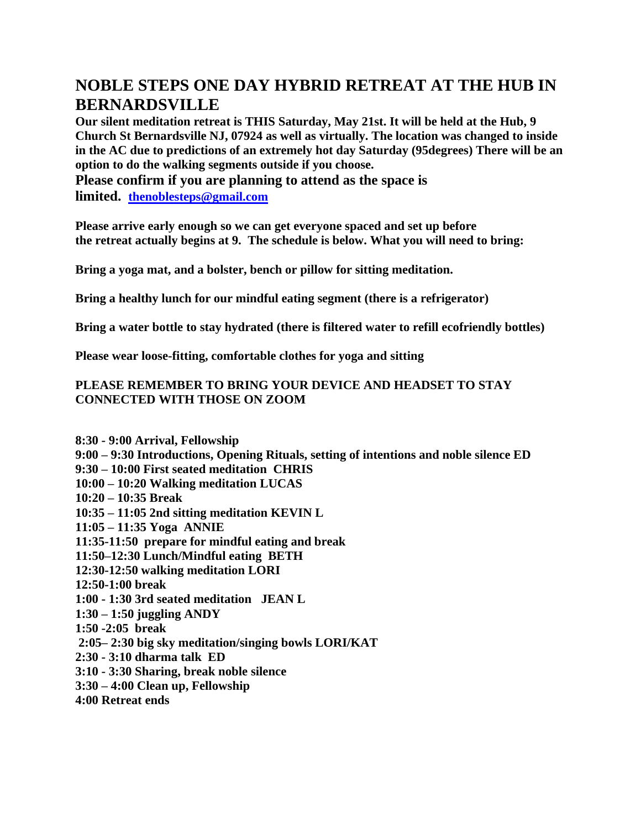## **NOBLE STEPS ONE DAY HYBRID RETREAT AT THE HUB IN BERNARDSVILLE**

**Our silent meditation retreat is THIS Saturday, May 21st. It will be held at the Hub, 9 Church St Bernardsville NJ, 07924 as well as virtually. The location was changed to inside in the AC due to predictions of an extremely hot day Saturday (95degrees) There will be an option to do the walking segments outside if you choose.**

**Please confirm if you are planning to attend as the space is limited. [thenoblesteps@gmail.com](mailto:thenoblesteps@gmail.com)**

**Please arrive early enough so we can get everyone spaced and set up before the retreat actually begins at 9. The schedule is below. What you will need to bring:**

**Bring a yoga mat, and a bolster, bench or pillow for sitting meditation.**

**Bring a healthy lunch for our mindful eating segment (there is a refrigerator)**

**Bring a water bottle to stay hydrated (there is filtered water to refill ecofriendly bottles)**

**Please wear loose-fitting, comfortable clothes for yoga and sitting**

## **PLEASE REMEMBER TO BRING YOUR DEVICE AND HEADSET TO STAY CONNECTED WITH THOSE ON ZOOM**

**8:30 - 9:00 Arrival, Fellowship 9:00 – 9:30 Introductions, Opening Rituals, setting of intentions and noble silence ED 9:30 – 10:00 First seated meditation CHRIS 10:00 – 10:20 Walking meditation LUCAS 10:20 – 10:35 Break 10:35 – 11:05 2nd sitting meditation KEVIN L 11:05 – 11:35 Yoga ANNIE 11:35-11:50 prepare for mindful eating and break 11:50–12:30 Lunch/Mindful eating BETH 12:30-12:50 walking meditation LORI 12:50-1:00 break 1:00 - 1:30 3rd seated meditation JEAN L 1:30 – 1:50 juggling ANDY 1:50 -2:05 break 2:05– 2:30 big sky meditation/singing bowls LORI/KAT 2:30 - 3:10 dharma talk ED 3:10 - 3:30 Sharing, break noble silence 3:30 – 4:00 Clean up, Fellowship 4:00 Retreat ends**